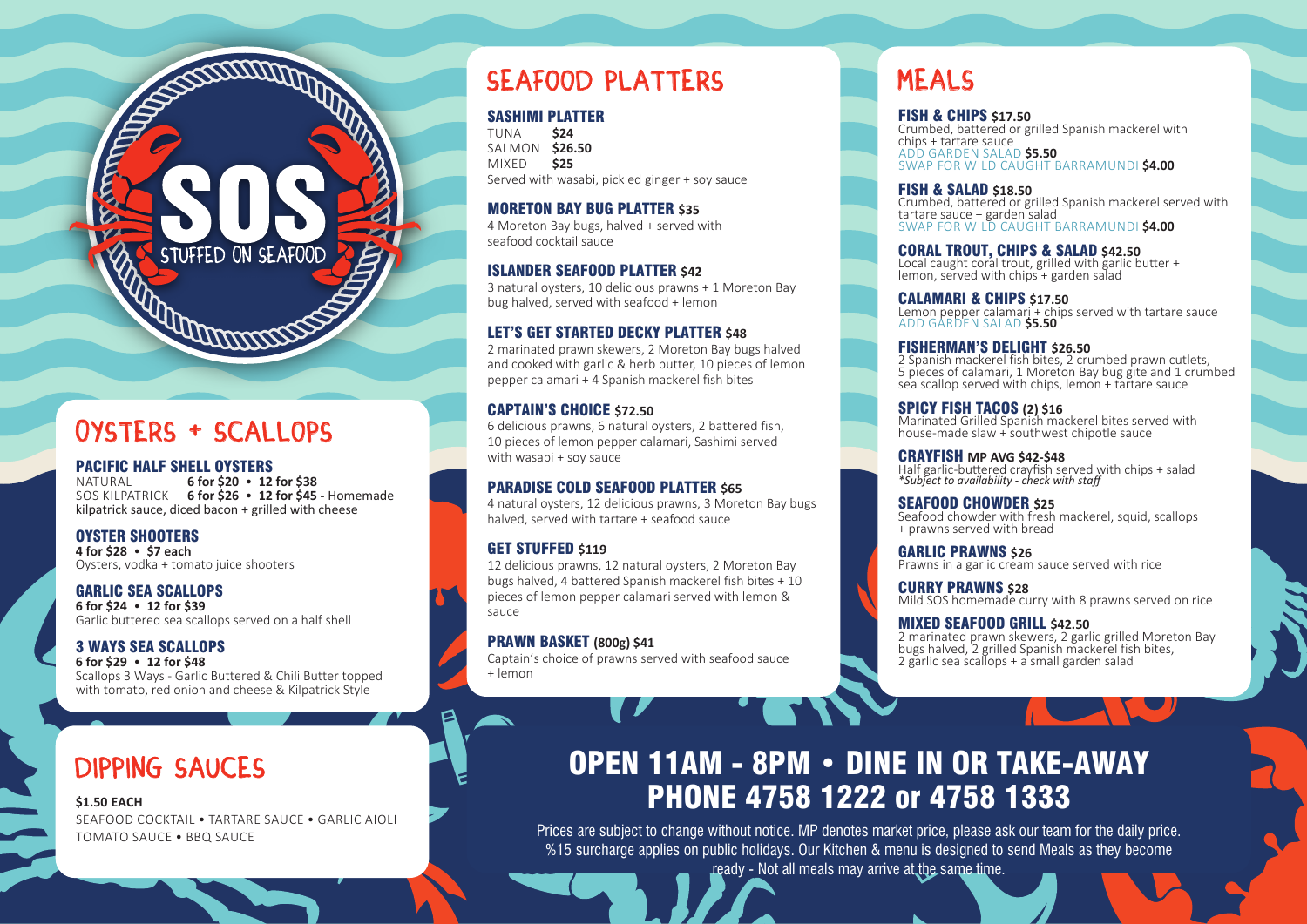### Oysters + Scallops

### **PACIFIC HALF SHELL OYSTERS**<br>NATURAL 6 for \$20 . 12

NATURAL **6 for \$20** • **12 for \$38** SOS KILPATRICK **6 for \$26** • **12 for \$45 -** Homemade kilpatrick sauce, diced bacon + grilled with cheese

STUFFED ON SEAFOOD

**REFERENCES** 

#### OYSTER SHOOTERS

**4 for \$28** • **\$7 each**  Oysters, vodka + tomato juice shooters

GARLIC SEA SCALLOPS

**6 for \$24** • **12 for \$39**  Garlic buttered sea scallops served on a half shell

#### 3 WAYS SEA SCALLOPS

**6 for \$29** • **12 for \$48**  Scallops 3 Ways - Garlic Buttered & Chili Butter topped with tomato, red onion and cheese & Kilpatrick Style

### DIPPING SAUCES

#### **\$1.50 EACH**

SEAFOOD COCKTAIL • TARTARE SAUCE • GARLIC AIOLI TOMATO SAUCE • BBQ SAUCE

### Seafood platters

#### SASHIMI PLATTER

TUNA **\$24** SALMON **\$26.50** MIXED **\$25** Served with wasabi, pickled ginger + soy sauce

#### MORETON BAY BUG PLATTER **\$35**

4 Moreton Bay bugs, halved + served with seafood cocktail sauce

#### ISLANDER SEAFOOD PLATTER **\$42**

3 natural oysters, 10 delicious prawns + 1 Moreton Bay bug halved, served with seafood + lemon

#### **LET'S GET STARTED DECKY PLATTER \$48**

2 marinated prawn skewers, 2 Moreton Bay bugs halved and cooked with garlic & herb butter, 10 pieces of lemon pepper calamari + 4 Spanish mackerel fish bites

#### CAPTAIN'S CHOICE **\$72.50**

6 delicious prawns, 6 natural oysters, 2 battered fish, 10 pieces of lemon pepper calamari, Sashimi served with wasabi + soy sauce

#### **PARADISE COLD SEAFOOD PLATTER \$65**

4 natural oysters, 12 delicious prawns, 3 Moreton Bay bugs halved, served with tartare + seafood sauce

#### GET STUFFED \$119

12 delicious prawns, 12 natural oysters, 2 Moreton Bay bugs halved, 4 battered Spanish mackerel fish bites + 10 pieces of lemon pepper calamari served with lemon & sauce

#### PRAWN BASKET **(800g) \$41**

Captain's choice of prawns served with seafood sauce  $+$  lemon

### **MEALS**

FISH & CHIPS **\$17.50**  Crumbed, battered or grilled Spanish mackerel with chips + tartare sauce ADD GARDEN SALAD **\$5.50** SWAP FOR WILD CAUGHT BARRAMUNDI **\$4.00**

#### FISH & SALAD **\$18.50**

Crumbed, battered or grilled Spanish mackerel served with tartare sauce + garden salad SWAP FOR WILD CAUGHT BARRAMUNDI **\$4.00**

#### **CORAL TROUT, CHIPS & SALAD \$42.50**

Local caught coral trout, grilled with garlic butter + lemon, served with chips + garden salad

#### CALAMARI & CHIPS **\$17.50**

Lemon pepper calamari + chips served with tartare sauce ADD GARDEN SALAD **\$5.50**

#### FISHERMAN'S DELIGHT **\$26.50**

2 Spanish mackerel fish bites, 2 crumbed prawn cutlets, 5 pieces of calamari, 1 Moreton Bay bug gite and 1 crumbed sea scallop served with chips, lemon + tartare sauce

SPICY FISH TACOS **(2) \$16** Marinated Grilled Spanish mackerel bites served with house-made slaw + southwest chipotle sauce

CRAYFISH **MP AVG \$42-\$48** Half garlic-buttered crayfish served with chips + salad *\*Subject to availability - check with staff*

SEAFOOD CHOWDER **\$25** Seafood chowder with fresh mackerel, squid, scallops + prawns served with bread

GARLIC PRAWNS **\$26** Prawns in a garlic cream sauce served with rice

CURRY PRAWNS **\$28** Mild SOS homemade curry with 8 prawns served on rice

#### MIXED SEAFOOD GRILL **\$42.50**

2 marinated prawn skewers, 2 garlic grilled Moreton Bay bugs halved, 2 grilled Spanish mackerel fish bites, 2 garlic sea scallops + a small garden salad

## OPEN 11AM - 8PM • DINE IN OR TAKE-AWAY PHONE 4758 1222 or 4758 1333

Prices are subject to change without notice. MP denotes market price, please ask our team for the daily price. %15 surcharge applies on public holidays. Our Kitchen & menu is designed to send Meals as they become ready - Not all meals may arrive at the same time.